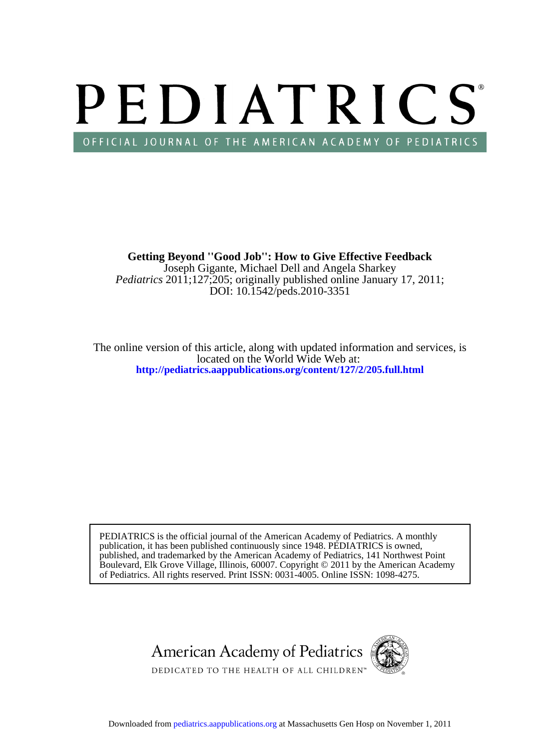## PEDIATRICS OFFICIAL JOURNAL OF THE AMERICAN ACADEMY OF PEDIATRICS

DOI: 10.1542/peds.2010-3351 *Pediatrics* 2011;127;205; originally published online January 17, 2011; Joseph Gigante, Michael Dell and Angela Sharkey **Getting Beyond ''Good Job'': How to Give Effective Feedback**

**<http://pediatrics.aappublications.org/content/127/2/205.full.html>** located on the World Wide Web at: The online version of this article, along with updated information and services, is

of Pediatrics. All rights reserved. Print ISSN: 0031-4005. Online ISSN: 1098-4275. Boulevard, Elk Grove Village, Illinois, 60007. Copyright © 2011 by the American Academy published, and trademarked by the American Academy of Pediatrics, 141 Northwest Point publication, it has been published continuously since 1948. PEDIATRICS is owned, PEDIATRICS is the official journal of the American Academy of Pediatrics. A monthly



Downloaded from [pediatrics.aappublications.org](http://pediatrics.aappublications.org/) at Massachusetts Gen Hosp on November 1, 2011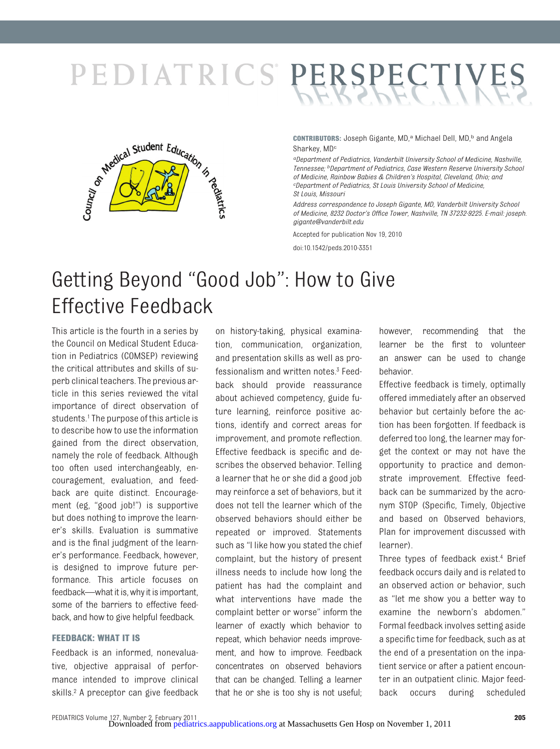# PEDIATRICS PERSPECTIVES



**CONTRIBUTORS:** Joseph Gigante, MD,<sup>a</sup> Michael Dell, MD,<sup>b</sup> and Angela Sharkey, MD<sup>c</sup>

*aDepartment of Pediatrics, Vanderbilt University School of Medicine, Nashville, Tennessee; bDepartment of Pediatrics, Case Western Reserve University School of Medicine, Rainbow Babies & Children's Hospital, Cleveland, Ohio; and c Department of Pediatrics, St Louis University School of Medicine, St Louis, Missouri*

*Address correspondence to Joseph Gigante, MD, Vanderbilt University School of Medicine, 8232 Doctor's Office Tower, Nashville, TN 37232-9225. E-mail: joseph. gigante@vanderbilt.edu*

Accepted for publication Nov 19, 2010

doi:10.1542/peds.2010-3351

### Getting Beyond "Good Job": How to Give Effective Feedback

This article is the fourth in a series by the Council on Medical Student Education in Pediatrics (COMSEP) reviewing the critical attributes and skills of superb clinical teachers. The previous article in this series reviewed the vital importance of direct observation of students.<sup>1</sup> The purpose of this article is to describe how to use the information gained from the direct observation, namely the role of feedback. Although too often used interchangeably, encouragement, evaluation, and feedback are quite distinct. Encouragement (eg, "good job!") is supportive but does nothing to improve the learner's skills. Evaluation is summative and is the final judgment of the learner's performance. Feedback, however, is designed to improve future performance. This article focuses on feedback—what it is,why it is important, some of the barriers to effective feedback, and how to give helpful feedback.

#### **FEEDBACK: WHAT IT IS**

Feedback is an informed, nonevaluative, objective appraisal of performance intended to improve clinical skills[.2](#page-3-0) A preceptor can give feedback

on history-taking, physical examination, communication, organization, and presentation skills as well as professionalism and written notes[.3](#page-3-0) Feedback should provide reassurance about achieved competency, guide future learning, reinforce positive actions, identify and correct areas for improvement, and promote reflection. Effective feedback is specific and describes the observed behavior. Telling a learner that he or she did a good job may reinforce a set of behaviors, but it does not tell the learner which of the observed behaviors should either be repeated or improved. Statements such as "I like how you stated the chief complaint, but the history of present illness needs to include how long the patient has had the complaint and what interventions have made the complaint better or worse" inform the learner of exactly which behavior to repeat, which behavior needs improvement, and how to improve. Feedback concentrates on observed behaviors that can be changed. Telling a learner that he or she is too shy is not useful; however, recommending that the learner be the first to volunteer an answer can be used to change behavior.

Effective feedback is timely, optimally offered immediately after an observed behavior but certainly before the action has been forgotten. If feedback is deferred too long, the learner may forget the context or may not have the opportunity to practice and demonstrate improvement. Effective feedback can be summarized by the acronym STOP (Specific, Timely, Objective and based on Observed behaviors, Plan for improvement discussed with learner).

Three types of feedback exist[.4](#page-3-0) Brief feedback occurs daily and is related to an observed action or behavior, such as "let me show you a better way to examine the newborn's abdomen." Formal feedback involves setting aside a specific time for feedback, such as at the end of a presentation on the inpatient service or after a patient encounter in an outpatient clinic. Major feedback occurs during scheduled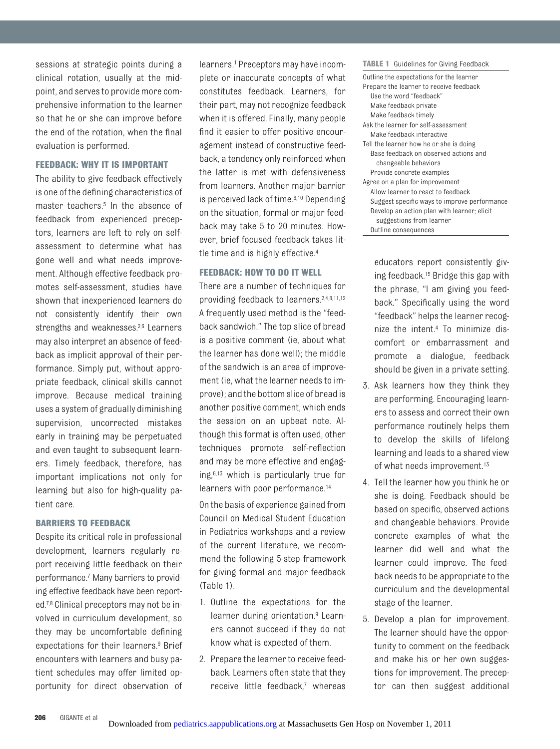sessions at strategic points during a clinical rotation, usually at the midpoint, and serves to provide more comprehensive information to the learner so that he or she can improve before the end of the rotation, when the final evaluation is performed.

#### **FEEDBACK: WHY IT IS IMPORTANT**

The ability to give feedback effectively is one of the defining characteristics of master teachers.<sup>5</sup> In the absence of feedback from experienced preceptors, learners are left to rely on selfassessment to determine what has gone well and what needs improvement. Although effective feedback promotes self-assessment, studies have shown that inexperienced learners do not consistently identify their own strengths and weaknesses.<sup>2,6</sup> Learners may also interpret an absence of feedback as implicit approval of their performance. Simply put, without appropriate feedback, clinical skills cannot improve. Because medical training uses a system of gradually diminishing supervision, uncorrected mistakes early in training may be perpetuated and even taught to subsequent learners. Timely feedback, therefore, has important implications not only for learning but also for high-quality patient care.

#### **BARRIERS TO FEEDBACK**

Despite its critical role in professional development, learners regularly report receiving little feedback on their performance[.7](#page-3-0) Many barriers to providing effective feedback have been reported[.7,8](#page-3-0) Clinical preceptors may not be involved in curriculum development, so they may be uncomfortable defining expectations for their learners[.9](#page-3-0) Brief encounters with learners and busy patient schedules may offer limited opportunity for direct observation of learners[.1](#page-3-0) Preceptors may have incomplete or inaccurate concepts of what constitutes feedback. Learners, for their part, may not recognize feedback when it is offered. Finally, many people find it easier to offer positive encouragement instead of constructive feedback, a tendency only reinforced when the latter is met with defensiveness from learners. Another major barrier is perceived lack of time. $6,10$  Depending on the situation, formal or major feedback may take 5 to 20 minutes. However, brief focused feedback takes little time and is highly effective[.4](#page-3-0)

#### **FEEDBACK: HOW TO DO IT WELL**

There are a number of techniques for providing feedback to learners[.2,4,8,11,12](#page-3-0) A frequently used method is the "feedback sandwich." The top slice of bread is a positive comment (ie, about what the learner has done well); the middle of the sandwich is an area of improvement (ie, what the learner needs to improve); and the bottom slice of bread is another positive comment, which ends the session on an upbeat note. Although this format is often used, other techniques promote self-reflection and may be more effective and engaging[,6,13](#page-3-0) which is particularly true for learners with poor performance[.14](#page-3-0)

On the basis of experience gained from Council on Medical Student Education in Pediatrics workshops and a review of the current literature, we recommend the following 5-step framework for giving formal and major feedback (Table 1).

- 1. Outline the expectations for the learner during orientation.<sup>9</sup> Learners cannot succeed if they do not know what is expected of them.
- 2. Prepare the learner to receive feedback. Learners often state that they receive little feedback, $7$  whereas

| <b>TABLE 1</b> Guidelines for Giving Feedback |  |  |
|-----------------------------------------------|--|--|
| Outline the expectations for the learner      |  |  |
| Prepare the learner to receive feedback       |  |  |
| Use the word "feedback"                       |  |  |
| Make feedback private                         |  |  |
| Make feedback timely                          |  |  |
| Ask the learner for self-assessment           |  |  |
| Make feedback interactive                     |  |  |
| Tell the learner how he or she is doing       |  |  |
| Base feedback on observed actions and         |  |  |
| changeable behaviors                          |  |  |
| Provide concrete examples                     |  |  |
| Agree on a plan for improvement               |  |  |
| Allow learner to react to feedback            |  |  |
| Suggest specific ways to improve performance  |  |  |
| Develop an action plan with learner; elicit   |  |  |
| suggestions from learner                      |  |  |
| Outline consequences                          |  |  |

educators report consistently giving feedback[.15](#page-3-0) Bridge this gap with the phrase, "I am giving you feedback." Specifically using the word "feedback" helps the learner recognize the intent[.4](#page-3-0) To minimize discomfort or embarrassment and promote a dialogue, feedback should be given in a private setting.

- 3. Ask learners how they think they are performing. Encouraging learners to assess and correct their own performance routinely helps them to develop the skills of lifelong learning and leads to a shared view of what needs improvement[.13](#page-3-0)
- 4. Tell the learner how you think he or she is doing. Feedback should be based on specific, observed actions and changeable behaviors. Provide concrete examples of what the learner did well and what the learner could improve. The feedback needs to be appropriate to the curriculum and the developmental stage of the learner.
- 5. Develop a plan for improvement. The learner should have the opportunity to comment on the feedback and make his or her own suggestions for improvement. The preceptor can then suggest additional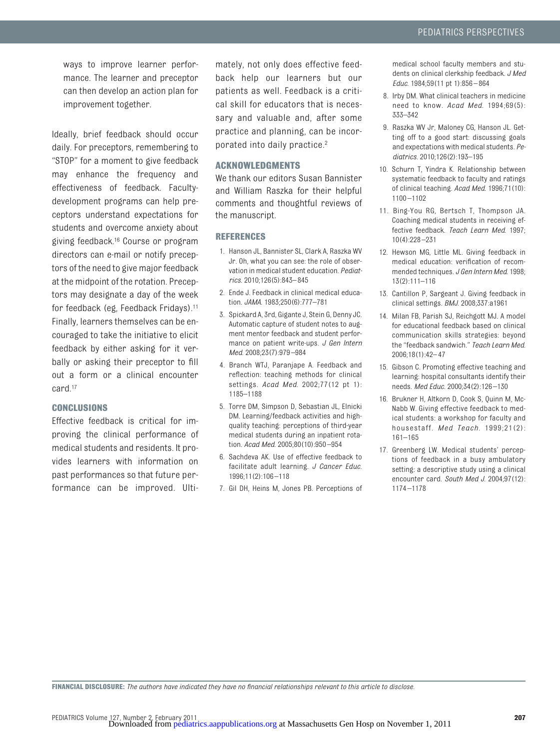<span id="page-3-0"></span>ways to improve learner performance. The learner and preceptor can then develop an action plan for improvement together.

Ideally, brief feedback should occur daily. For preceptors, remembering to "STOP" for a moment to give feedback may enhance the frequency and effectiveness of feedback. Facultydevelopment programs can help preceptors understand expectations for students and overcome anxiety about giving feedback.16 Course or program directors can e-mail or notify preceptors of the need to give major feedback at the midpoint of the rotation. Preceptors may designate a day of the week for feedback (eg, Feedback Fridays).11 Finally, learners themselves can be encouraged to take the initiative to elicit feedback by either asking for it verbally or asking their preceptor to fill out a form or a clinical encounter card.17

#### **CONCLUSIONS**

Effective feedback is critical for improving the clinical performance of medical students and residents. It provides learners with information on past performances so that future performance can be improved. Ulti-

mately, not only does effective feedback help our learners but our patients as well. Feedback is a critical skill for educators that is necessary and valuable and, after some practice and planning, can be incorporated into daily practice.2

#### **ACKNOWLEDGMENTS**

We thank our editors Susan Bannister and William Raszka for their helpful comments and thoughtful reviews of the manuscript.

#### **REFERENCES**

- 1. Hanson JL, Bannister SL, Clark A, Raszka WV Jr. Oh, what you can see: the role of observation in medical student education. *Pediatrics*. 2010;126(5):843– 845
- 2. Ende J. Feedback in clinical medical education. *JAMA*. 1983;250(6):777–781
- 3. Spickard A, 3rd, Gigante J, Stein G, Denny JC. Automatic capture of student notes to augment mentor feedback and student performance on patient write-ups. *J Gen Intern Med*. 2008;23(7):979 –984
- 4. Branch WTJ, Paranjape A. Feedback and reflection: teaching methods for clinical settings. *Acad Med*. 2002;77(12 pt 1): 1185–1188
- 5. Torre DM, Simpson D, Sebastian JL, Elnicki DM. Learning/feedback activities and highquality teaching: perceptions of third-year medical students during an inpatient rotation. *Acad Med*. 2005;80(10):950 –954
- 6. Sachdeva AK. Use of effective feedback to facilitate adult learning. *J Cancer Educ*. 1996;11(2):106 –118
- 7. Gil DH, Heins M, Jones PB. Perceptions of

medical school faculty members and students on clinical clerkship feedback. *J Med Educ*. 1984;59(11 pt 1):856 – 864

- 8. Irby DM. What clinical teachers in medicine need to know. *Acad Med*. 1994;69(5): 333–342
- 9. Raszka WV Jr, Maloney CG, Hanson JL. Getting off to a good start: discussing goals and expectations with medical students. *Pediatrics*. 2010;126(2):193–195
- 10. Schurn T, Yindra K. Relationship between systematic feedback to faculty and ratings of clinical teaching. *Acad Med*. 1996;71(10): 1100 –1102
- 11. Bing-You RG, Bertsch T, Thompson JA. Coaching medical students in receiving effective feedback. *Teach Learn Med*. 1997; 10(4):228 –231
- 12. Hewson MG, Little ML. Giving feedback in medical education: verification of recommended techniques. *J Gen Intern Med*. 1998; 13(2):111–116
- 13. Cantillon P, Sargeant J. Giving feedback in clinical settings. *BMJ*. 2008;337:a1961
- 14. Milan FB, Parish SJ, Reichgott MJ. A model for educational feedback based on clinical communication skills strategies: beyond the "feedback sandwich." *Teach Learn Med*. 2006;18(1):42– 47
- 15. Gibson C. Promoting effective teaching and learning: hospital consultants identify their needs. *Med Educ*. 2000;34(2):126 –130
- 16. Brukner H, Altkorn D, Cook S, Quinn M, Mc-Nabb W. Giving effective feedback to medical students: a workshop for faculty and housestaff. *Med Teach*. 1999;21(2): 161–165
- 17. Greenberg LW. Medical students' perceptions of feedback in a busy ambulatory setting: a descriptive study using a clinical encounter card. *South Med J*. 2004;97(12): 1174 –1178

**FINANCIAL DISCLOSURE:** *The authors have indicated they have no financial relationships relevant to this article to disclose.*